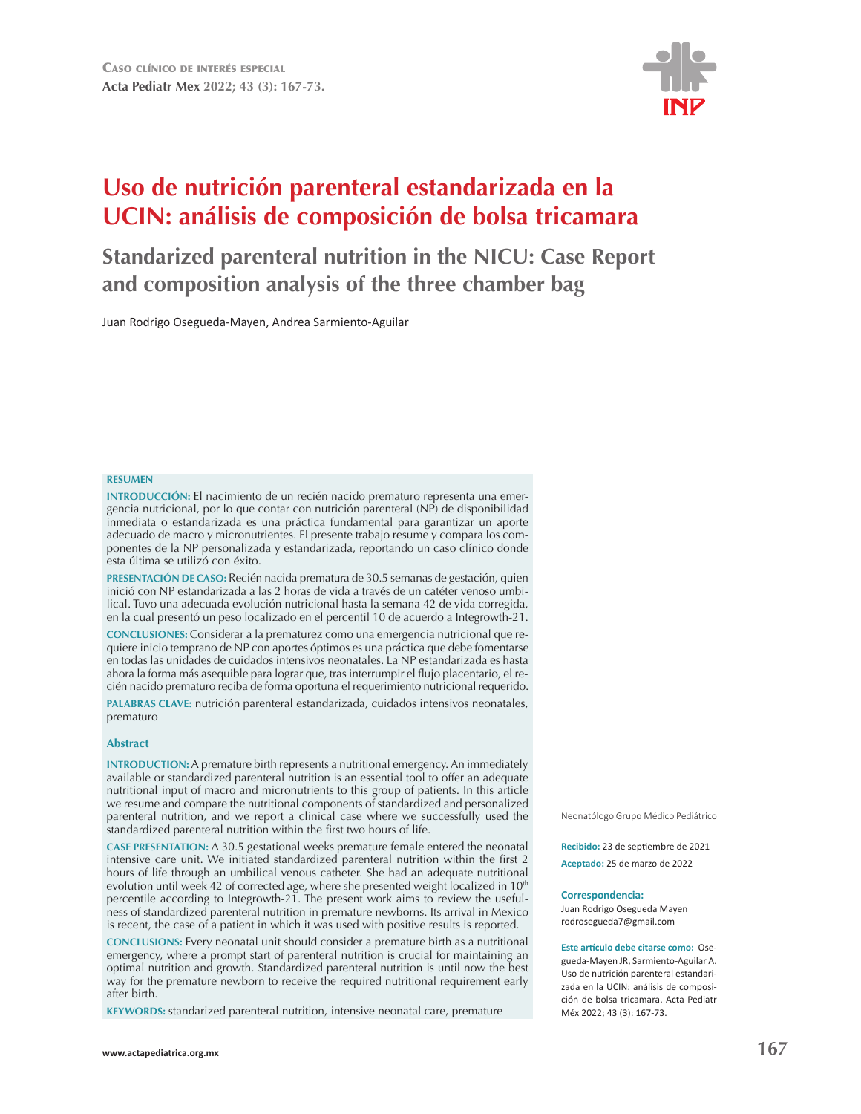

# **Uso de nutrición parenteral estandarizada en la UCIN: análisis de composición de bolsa tricamara**

## **Standarized parenteral nutrition in the NICU: Case Report and composition analysis of the three chamber bag**

Juan Rodrigo Osegueda-Mayen, Andrea Sarmiento-Aguilar

#### **RESUMEN**

**INTRODUCCIÓN:** El nacimiento de un recién nacido prematuro representa una emergencia nutricional, por lo que contar con nutrición parenteral (NP) de disponibilidad inmediata o estandarizada es una práctica fundamental para garantizar un aporte adecuado de macro y micronutrientes. El presente trabajo resume y compara los componentes de la NP personalizada y estandarizada, reportando un caso clínico donde esta última se utilizó con éxito.

PRESENTACIÓN DE CASO: Recién nacida prematura de 30.5 semanas de gestación, quien inició con NP estandarizada a las 2 horas de vida a través de un catéter venoso umbilical. Tuvo una adecuada evolución nutricional hasta la semana 42 de vida corregida, en la cual presentó un peso localizado en el percentil 10 de acuerdo a Integrowth-21.

**CONCLUSIONES:** Considerar a la prematurez como una emergencia nutricional que requiere inicio temprano de NP con aportes óptimos es una práctica que debe fomentarse en todas las unidades de cuidados intensivos neonatales. La NP estandarizada es hasta ahora la forma más asequible para lograr que, tras interrumpir el flujo placentario, el recién nacido prematuro reciba de forma oportuna el requerimiento nutricional requerido.

PALABRAS CLAVE: nutrición parenteral estandarizada, cuidados intensivos neonatales, prematuro

#### **Abstract**

**INTRODUCTION:** A premature birth represents a nutritional emergency. An immediately available or standardized parenteral nutrition is an essential tool to offer an adequate nutritional input of macro and micronutrients to this group of patients. In this article we resume and compare the nutritional components of standardized and personalized parenteral nutrition, and we report a clinical case where we successfully used the standardized parenteral nutrition within the first two hours of life.

**CASE PRESENTATION:** A 30.5 gestational weeks premature female entered the neonatal intensive care unit. We initiated standardized parenteral nutrition within the first 2 hours of life through an umbilical venous catheter. She had an adequate nutritional evolution until week 42 of corrected age, where she presented weight localized in 10<sup>th</sup> percentile according to Integrowth-21. The present work aims to review the usefulness of standardized parenteral nutrition in premature newborns. Its arrival in Mexico is recent, the case of a patient in which it was used with positive results is reported.

**CONCLUSIONS:** Every neonatal unit should consider a premature birth as a nutritional emergency, where a prompt start of parenteral nutrition is crucial for maintaining an optimal nutrition and growth. Standardized parenteral nutrition is until now the best way for the premature newborn to receive the required nutritional requirement early after birth.

KEYWORDS: standarized parenteral nutrition, intensive neonatal care, premature

Neonatólogo Grupo Médico Pediátrico

Recibido: 23 de septiembre de 2021 **Aceptado:** 25 de marzo de 2022

#### **Correspondencia:**

Juan Rodrigo Osegueda Mayen rodrosegueda7@gmail.com

**Este artículo debe citarse como: Ose**gueda-Mayen JR, Sarmiento-Aguilar A. Uso de nutrición parenteral estandarizada en la UCIN: análisis de composición de bolsa tricamara. Acta Pediatr Méx 2022; 43 (3): 167-73.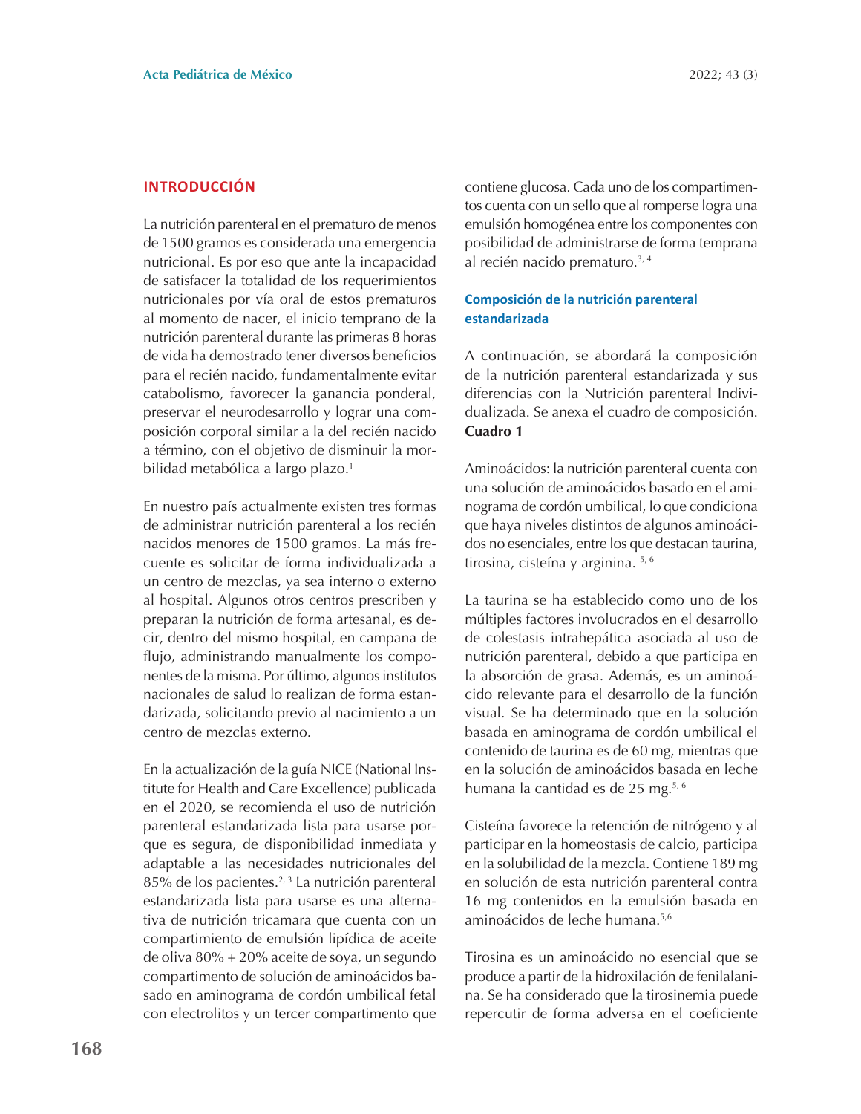#### **INTRODUCCIÓN**

La nutrición parenteral en el prematuro de menos de 1500 gramos es considerada una emergencia nutricional. Es por eso que ante la incapacidad de satisfacer la totalidad de los requerimientos nutricionales por vía oral de estos prematuros al momento de nacer, el inicio temprano de la nutrición parenteral durante las primeras 8 horas de vida ha demostrado tener diversos beneficios para el recién nacido, fundamentalmente evitar catabolismo, favorecer la ganancia ponderal, preservar el neurodesarrollo y lograr una composición corporal similar a la del recién nacido a término, con el objetivo de disminuir la morbilidad metabólica a largo plazo.<sup>1</sup>

En nuestro país actualmente existen tres formas de administrar nutrición parenteral a los recién nacidos menores de 1500 gramos. La más frecuente es solicitar de forma individualizada a un centro de mezclas, ya sea interno o externo al hospital. Algunos otros centros prescriben y preparan la nutrición de forma artesanal, es decir, dentro del mismo hospital, en campana de flujo, administrando manualmente los componentes de la misma. Por último, algunos institutos nacionales de salud lo realizan de forma estandarizada, solicitando previo al nacimiento a un centro de mezclas externo

En la actualización de la guía NICE (National Institute for Health and Care Excellence) publicada en el 2020, se recomienda el uso de nutrición parenteral estandarizada lista para usarse porque es segura, de disponibilidad inmediata y adaptable a las necesidades nutricionales del 85% de los pacientes.<sup>2, 3</sup> La nutrición parenteral estandarizada lista para usarse es una alternativa de nutrición tricamara que cuenta con un compartimiento de emulsión lipídica de aceite de oliva 80% + 20% aceite de soya, un segundo compartimento de solución de aminoácidos basado en aminograma de cordón umbilical fetal con electrolitos y un tercer compartimento que

contiene glucosa. Cada uno de los compartimentos cuenta con un sello que al romperse logra una emulsión homogénea entre los componentes con posibilidad de administrarse de forma temprana al recién nacido prematuro.<sup>3, 4</sup>

### Composición de la nutrición parenteral estandarizada

A continuación, se abordará la composición de la nutrición parenteral estandarizada y sus diferencias con la Nutrición parenteral Individualizada. Se anexa el cuadro de composición. Cuadro 1

Aminoácidos: la nutrición parenteral cuenta con una solución de aminoácidos basado en el aminograma de cordón umbilical, lo que condiciona que haya niveles distintos de algunos aminoácidos no esenciales, entre los que destacan taurina, tirosina, cisteína y arginina. 5, 6

La taurina se ha establecido como uno de los múltiples factores involucrados en el desarrollo de colestasis intrahepática asociada al uso de nutrición parenteral, debido a que participa en la absorción de grasa. Además, es un aminoácido relevante para el desarrollo de la función visual. Se ha determinado que en la solución basada en aminograma de cordón umbilical el contenido de taurina es de 60 mg, mientras que en la solución de aminoácidos basada en leche humana la cantidad es de 25 mg.<sup>5, 6</sup>

Cisteína favorece la retención de nitrógeno y al participar en la homeostasis de calcio, participa en la solubilidad de la mezcla. Contiene 189 mg en solución de esta nutrición parenteral contra 16 mg contenidos en la emulsión basada en aminoácidos de leche humana.<sup>5,6</sup>

Tirosina es un aminoácido no esencial que se produce a partir de la hidroxilación de fenilalanina. Se ha considerado que la tirosinemia puede repercutir de forma adversa en el coeficiente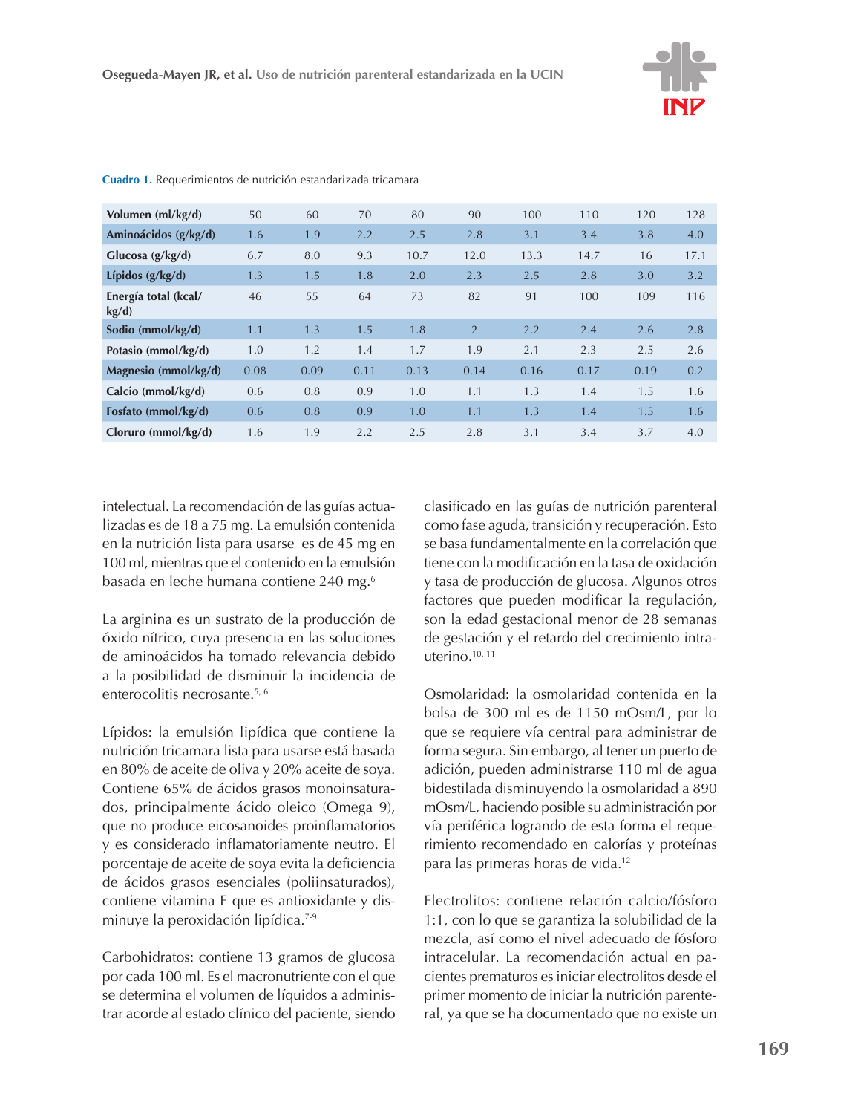

| Volumen (ml/kg/d)             | 50   | 60   | 70   | 80   | 90   | 100  | 110  | 120  | 128  |
|-------------------------------|------|------|------|------|------|------|------|------|------|
| Aminoácidos (g/kg/d)          | 1.6  | 1.9  | 2.2  | 2.5  | 2.8  | 3.1  | 3.4  | 3.8  | 4.0  |
| Glucosa $(g/kg/d)$            | 6.7  | 8.0  | 9.3  | 10.7 | 12.0 | 13.3 | 14.7 | 16   | 17.1 |
| Lípidos $(g/kg/d)$            | 1.3  | 1.5  | 1.8  | 2.0  | 2.3  | 2.5  | 2.8  | 3.0  | 3.2  |
| Energía total (kcal/<br>kg/d) | 46   | 55   | 64   | 73   | 82   | 91   | 100  | 109  | 116  |
| Sodio (mmol/kg/d)             | 1.1  | 1.3  | 1.5  | 1.8  | 2    | 2.2  | 2.4  | 2.6  | 2.8  |
| Potasio (mmol/kg/d)           | 1.0  | 1.2  | 1.4  | 1.7  | 1.9  | 2.1  | 2.3  | 2.5  | 2.6  |
| Magnesio (mmol/kg/d)          | 0.08 | 0.09 | 0.11 | 0.13 | 0.14 | 0.16 | 0.17 | 0.19 | 0.2  |
| Calcio ( $mmol/kg/d$ )        | 0.6  | 0.8  | 0.9  | 1.0  | 1.1  | 1.3  | 1.4  | 1.5  | 1.6  |
| Fosfato (mmol/kg/d)           | 0.6  | 0.8  | 0.9  | 1.0  | 1.1  | 1.3  | 1.4  | 1.5  | 1.6  |
| Cloruro (mmol/kg/d)           | 1.6  | 1.9  | 2.2  | 2.5  | 2.8  | 3.1  | 3.4  | 3.7  | 4.0  |

Cuadro 1. Requerimientos de nutrición estandarizada tricamara

intelectual. La recomendación de las guías actualizadas es de 18 a 75 mg. La emulsión contenida en la nutrición lista para usarse es de 45 mg en 100 ml, mientras que el contenido en la emulsión basada en leche humana contiene 240 mg.<sup>6</sup>

La arginina es un sustrato de la producción de óxido nítrico, cuva presencia en las soluciones de aminoácidos ha tomado relevancia debido a la posibilidad de disminuir la incidencia de enterocolitis necrosante.<sup>5, 6</sup>

Lípidos: la emulsión lipídica que contiene la nutrición tricamara lista para usarse está basada en 80% de aceite de oliva y 20% aceite de soya. Contiene 65% de ácidos grasos monoinsaturados, principalmente ácido oleico (Omega 9), que no produce eicosanoides proinflamatorios y es considerado inflamatoriamente neutro. El porcentaje de aceite de soya evita la deficiencia de ácidos grasos esenciales (poliinsaturados), contiene vitamina E que es antioxidante y disminuye la peroxidación lipídica.<sup>7-9</sup>

Carbohidratos: contiene 13 gramos de glucosa por cada 100 ml. Es el macronutriente con el que se determina el volumen de líquidos a administrar acorde al estado clínico del paciente, siendo clasificado en las guías de nutrición parenteral como fase aguda, transición y recuperación. Esto se basa fundamentalmente en la correlación que tiene con la modificación en la tasa de oxidación y tasa de producción de glucosa. Algunos otros factores que pueden modificar la regulación, son la edad gestacional menor de 28 semanas de gestación y el retardo del crecimiento intrauterino. $10, 11$ 

Osmolaridad: la osmolaridad contenida en la bolsa de 300 ml es de 1150 mOsm/L, por lo que se requiere vía central para administrar de forma segura. Sin embargo, al tener un puerto de adición, pueden administrarse 110 ml de agua bidestilada disminuyendo la osmolaridad a 890 mOsm/L, haciendo posible su administración por vía periférica logrando de esta forma el requerimiento recomendado en calorías y proteínas para las primeras horas de vida.<sup>12</sup>

Electrolitos: contiene relación calcio/fósforo 1:1, con lo que se garantiza la solubilidad de la mezcla, así como el nivel adecuado de fósforo intracelular. La recomendación actual en pacientes prematuros es iniciar electrolitos desde el primer momento de iniciar la nutrición parenteral, ya que se ha documentado que no existe un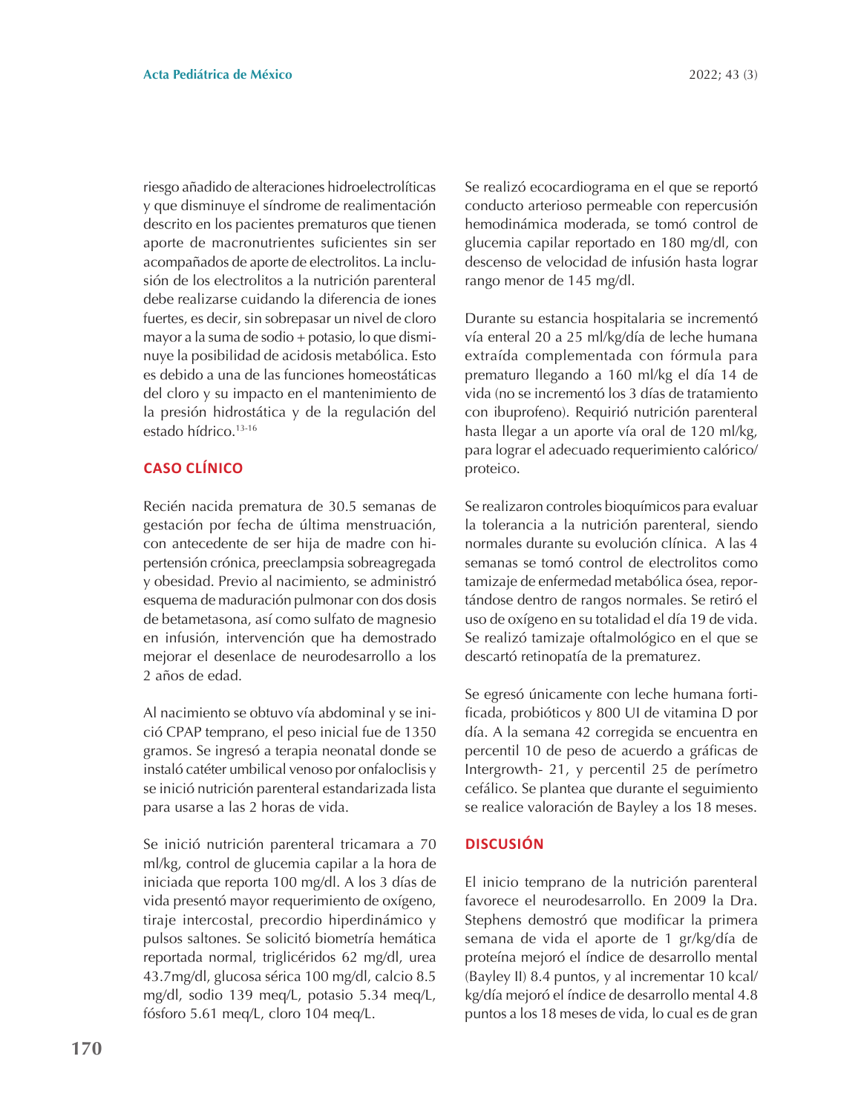riesgo añadido de alteraciones hidroelectrolíticas y que disminuye el síndrome de realimentación descrito en los pacientes prematuros que tienen aporte de macronutrientes suficientes sin ser acompañados de aporte de electrolitos. La inclusión de los electrolitos a la nutrición parenteral debe realizarse cuidando la diferencia de iones fuertes, es decir, sin sobrepasar un nivel de cloro mayor a la suma de sodio + potasio, lo que disminuye la posibilidad de acidosis metabólica. Esto es debido a una de las funciones homeostáticas del cloro y su impacto en el mantenimiento de la presión hidrostática y de la regulación del estado hídrico.<sup>13-16</sup>

## **CASO CLÍNICO**

Recién nacida prematura de 30.5 semanas de gestación por fecha de última menstruación, con antecedente de ser hija de madre con hipertensión crónica, preeclampsia sobreagregada y obesidad. Previo al nacimiento, se administró esquema de maduración pulmonar con dos dosis de betametasona, así como sulfato de magnesio en infusión, intervención que ha demostrado mejorar el desenlace de neurodesarrollo a los 2 años de edad.

Al nacimiento se obtuvo vía abdominal y se inició CPAP temprano, el peso inicial fue de 1350 gramos. Se ingresó a terapia neonatal donde se instaló catéter umbilical venoso por onfaloclisis y se inició nutrición parenteral estandarizada lista para usarse a las 2 horas de vida.

Se inició nutrición parenteral tricamara a 70 ml/kg, control de glucemia capilar a la hora de iniciada que reporta 100 mg/dl. A los 3 días de vida presentó mayor requerimiento de oxígeno, tiraje intercostal, precordio hiperdinámico y pulsos saltones. Se solicitó biometría hemática reportada normal, triglicéridos 62 mg/dl, urea 43.7mg/dl, glucosa sérica 100 mg/dl, calcio 8.5 mg/dl, sodio 139 meq/L, potasio 5.34 meq/L, fósforo 5.61 meq/L, cloro 104 meq/L.

Se realizó ecocardiograma en el que se reportó conducto arterioso permeable con repercusión hemodinámica moderada, se tomó control de glucemia capilar reportado en 180 mg/dl, con descenso de velocidad de infusión hasta lograr rango menor de 145 mg/dl.

Durante su estancia hospitalaria se incrementó vía enteral 20 a 25 ml/kg/día de leche humana extraída complementada con fórmula para prematuro llegando a 160 ml/kg el día 14 de vida (no se incrementó los 3 días de tratamiento con ibuprofeno). Requirió nutrición parenteral hasta llegar a un aporte vía oral de 120 ml/kg, para lograr el adecuado requerimiento calórico/ proteico.

Se realizaron controles bioquímicos para evaluar la tolerancia a la nutrición parenteral, siendo normales durante su evolución clínica. A las 4 semanas se tomó control de electrolitos como tamizaje de enfermedad metabólica ósea, reportándose dentro de rangos normales. Se retiró el uso de oxígeno en su totalidad el día 19 de vida. Se realizó tamizaje oftalmológico en el que se descartó retinopatía de la prematurez.

Se egresó únicamente con leche humana fortificada, probióticos y 800 UI de vitamina D por día. A la semana 42 corregida se encuentra en percentil 10 de peso de acuerdo a gráficas de Intergrowth- 21, y percentil 25 de perímetro cefálico. Se plantea que durante el seguimiento se realice valoración de Bayley a los 18 meses.

## **DISCUSIÓN**

El inicio temprano de la nutrición parenteral favorece el neurodesarrollo. En 2009 la Dra. Stephens demostró que modificar la primera semana de vida el aporte de 1 gr/kg/día de proteína mejoró el índice de desarrollo mental (Bayley II) 8.4 puntos, y al incrementar 10 kcal/ kg/día mejoró el índice de desarrollo mental 4.8 puntos a los 18 meses de vida, lo cual es de gran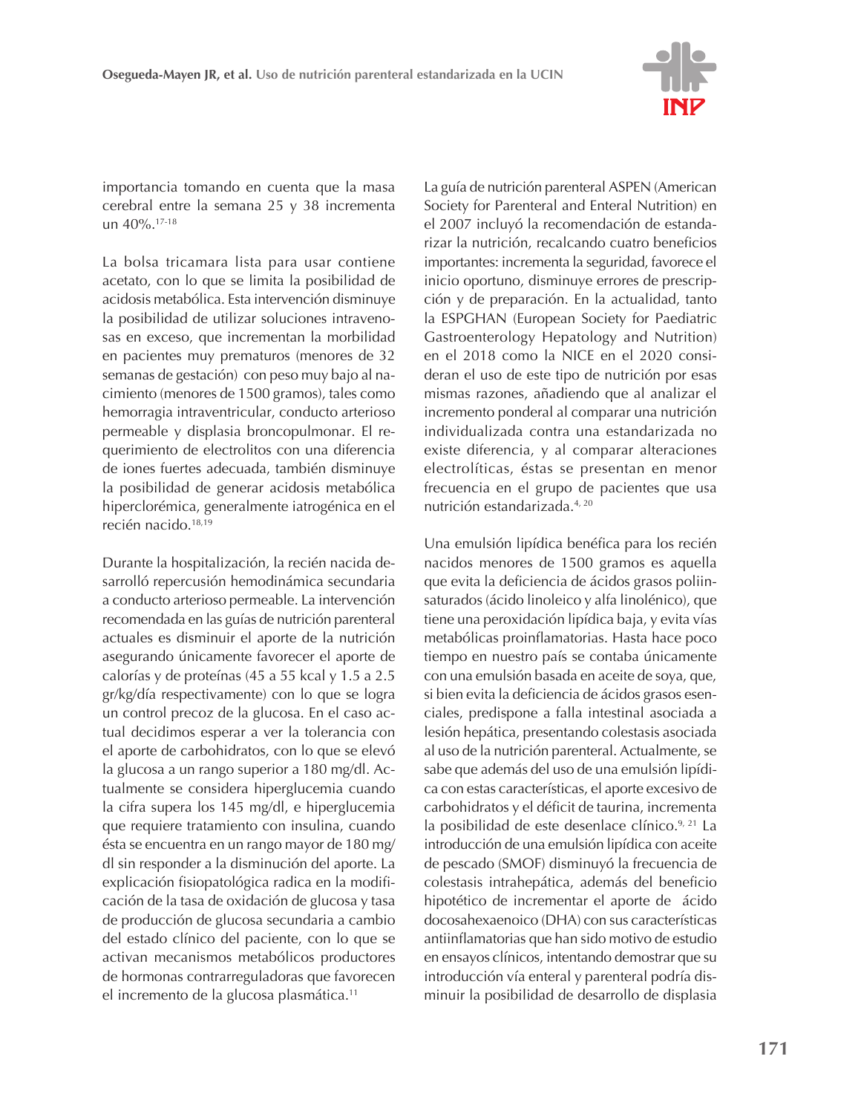

importancia tomando en cuenta que la masa cerebral entre la semana 25 y 38 incrementa un 40%.<sup>17-18</sup>

La bolsa tricamara lista para usar contiene acetato, con lo que se limita la posibilidad de acidosis metabólica. Esta intervención disminuye la posibilidad de utilizar soluciones intravenosas en exceso, que incrementan la morbilidad en pacientes muy prematuros (menores de 32 semanas de gestación) con peso muy bajo al nacimiento (menores de 1500 gramos), tales como hemorragia intraventricular, conducto arterioso permeable y displasia broncopulmonar. El requerimiento de electrolitos con una diferencia de iones fuertes adecuada, también disminuye la posibilidad de generar acidosis metabólica hiperclorémica, generalmente iatrogénica en el recién nacido.<sup>18,19</sup>

Durante la hospitalización, la recién nacida desarrolló repercusión hemodinámica secundaria a conducto arterioso permeable. La intervención recomendada en las guías de nutrición parenteral actuales es disminuir el aporte de la nutrición asegurando únicamente favorecer el aporte de calorías y de proteínas (45 a 55 kcal y 1.5 a 2.5 gr/kg/día respectivamente) con lo que se logra un control precoz de la glucosa. En el caso actual decidimos esperar a ver la tolerancia con el aporte de carbohidratos, con lo que se elevó la glucosa a un rango superior a 180 mg/dl. Actualmente se considera hiperglucemia cuando la cifra supera los 145 mg/dl, e hiperglucemia que requiere tratamiento con insulina, cuando ésta se encuentra en un rango mayor de 180 mg/ dl sin responder a la disminución del aporte. La explicación fisiopatológica radica en la modificación de la tasa de oxidación de glucosa y tasa de producción de glucosa secundaria a cambio del estado clínico del paciente, con lo que se activan mecanismos metabólicos productores de hormonas contrarreguladoras que favorecen el incremento de la glucosa plasmática.<sup>11</sup>

La guía de nutrición parenteral ASPEN (American Society for Parenteral and Enteral Nutrition) en el 2007 incluyó la recomendación de estandarizar la nutrición, recalcando cuatro beneficios importantes: incrementa la seguridad, favorece el inicio oportuno, disminuye errores de prescripción y de preparación. En la actualidad, tanto la ESPGHAN (European Society for Paediatric Gastroenterology Hepatology and Nutrition) en el 2018 como la NICE en el 2020 consideran el uso de este tipo de nutrición por esas mismas razones, añadiendo que al analizar el incremento ponderal al comparar una nutrición individualizada contra una estandarizada no existe diferencia, y al comparar alteraciones electrolíticas, éstas se presentan en menor frecuencia en el grupo de pacientes que usa nutrición estandarizada.<sup>4, 20</sup>

Una emulsión lipídica benéfica para los recién nacidos menores de 1500 gramos es aquella que evita la deficiencia de ácidos grasos poliinsaturados (ácido linoleico y alfa linolénico), que tiene una peroxidación lipídica baja, y evita vías metabólicas proinflamatorias. Hasta hace poco tiempo en nuestro país se contaba únicamente con una emulsión basada en aceite de soya, que, si bien evita la deficiencia de ácidos grasos esenciales, predispone a falla intestinal asociada a lesión hepática, presentando colestasis asociada al uso de la nutrición parenteral. Actualmente, se sabe que además del uso de una emulsión lipídica con estas características, el aporte excesivo de carbohidratos y el déficit de taurina, incrementa la posibilidad de este desenlace clínico.<sup>9, 21</sup> La introducción de una emulsión lipídica con aceite de pescado (SMOF) disminuyó la frecuencia de colestasis intrahepática, además del beneficio hipotético de incrementar el aporte de ácido docosahexaenoico (DHA) con sus características antiinflamatorias que han sido motivo de estudio en ensayos clínicos, intentando demostrar que su introducción vía enteral y parenteral podría disminuir la posibilidad de desarrollo de displasia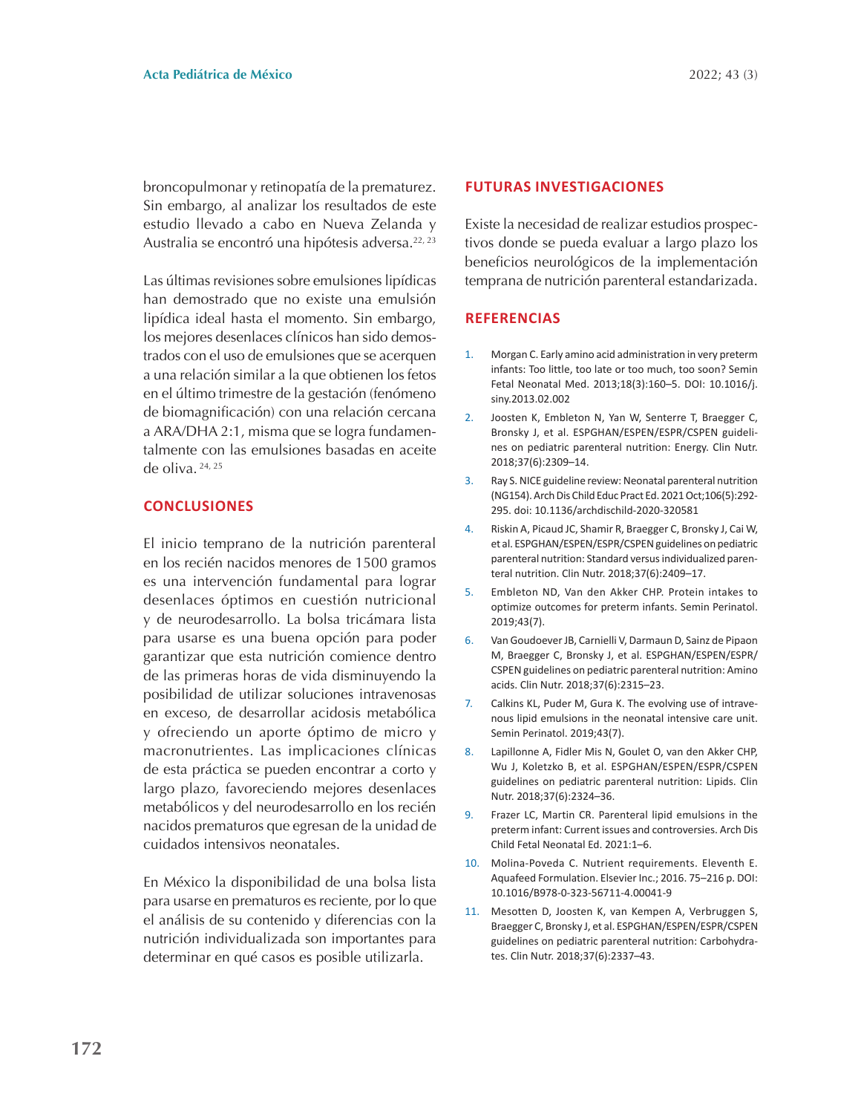broncopulmonar y retinopatía de la prematurez. Sin embargo, al analizar los resultados de este estudio llevado a cabo en Nueva Zelanda y Australia se encontró una hipótesis adversa.<sup>22, 23</sup>

Las últimas revisiones sobre emulsiones lipídicas han demostrado que no existe una emulsión lipídica ideal hasta el momento. Sin embargo, los mejores desenlaces clínicos han sido demostrados con el uso de emulsiones que se acerquen a una relación similar a la que obtienen los fetos en el último trimestre de la gestación (fenómeno de biomagnificación) con una relación cercana a ARA/DHA 2:1, misma que se logra fundamentalmente con las emulsiones basadas en aceite de oliva.  $24, 25$ 

### **CONCLUSIONES**

El inicio temprano de la nutrición parenteral en los recién nacidos menores de 1500 gramos es una intervención fundamental para lograr desenlaces óptimos en cuestión nutricional y de neurodesarrollo. La bolsa tricámara lista para usarse es una buena opción para poder garantizar que esta nutrición comience dentro de las primeras horas de vida disminuyendo la posibilidad de utilizar soluciones intravenosas en exceso, de desarrollar acidosis metabólica y ofreciendo un aporte óptimo de micro y macronutrientes. Las implicaciones clínicas de esta práctica se pueden encontrar a corto y largo plazo, favoreciendo mejores desenlaces metabólicos y del neurodesarrollo en los recién nacidos prematuros que egresan de la unidad de cuidados intensivos neonatales.

En México la disponibilidad de una bolsa lista para usarse en prematuros es reciente, por lo que el análisis de su contenido y diferencias con la nutrición individualizada son importantes para determinar en qué casos es posible utilizarla.

#### **FUTURAS INVESTIGACIONES**

Existe la necesidad de realizar estudios prospectivos donde se pueda evaluar a largo plazo los beneficios neurológicos de la implementación temprana de nutrición parenteral estandarizada.

#### **REFERENCIAS**

- Morgan C. Early amino acid administration in very preterm  $1.$ infants: Too little, too late or too much, too soon? Semin Fetal Neonatal Med. 2013;18(3):160-5. DOI: 10.1016/j. siny.2013.02.002
- $2.$ Joosten K, Embleton N, Yan W, Senterre T, Braegger C, Bronsky J, et al. ESPGHAN/ESPEN/ESPR/CSPEN guidelines on pediatric parenteral nutrition: Energy. Clin Nutr. 2018;37(6):2309-14.
- Ray S. NICE guideline review: Neonatal parenteral nutrition  $\mathbf{R}$ (NG154). Arch Dis Child Educ Pract Ed. 2021 Oct;106(5):292-295. doi: 10.1136/archdischild-2020-320581
- Riskin A, Picaud JC, Shamir R, Braegger C, Bronsky J, Cai W,  $\overline{4}$ . et al. ESPGHAN/ESPEN/ESPR/CSPEN guidelines on pediatric parenteral nutrition: Standard versus individualized parenteral nutrition. Clin Nutr. 2018;37(6):2409-17.
- Embleton ND, Van den Akker CHP. Protein intakes to  $5.$ optimize outcomes for preterm infants. Semin Perinatol. 2019;43(7).
- $6<sub>1</sub>$ Van Goudoever JB, Carnielli V, Darmaun D, Sainz de Pipaon M, Braegger C, Bronsky J, et al. ESPGHAN/ESPEN/ESPR/ CSPEN guidelines on pediatric parenteral nutrition: Amino acids. Clin Nutr. 2018;37(6):2315-23.
- $7<sup>1</sup>$ Calkins KL, Puder M, Gura K. The evolving use of intravenous lipid emulsions in the neonatal intensive care unit. Semin Perinatol. 2019;43(7).
- 8. Lapillonne A, Fidler Mis N, Goulet O, van den Akker CHP, Wu J, Koletzko B, et al. ESPGHAN/ESPEN/ESPR/CSPEN guidelines on pediatric parenteral nutrition: Lipids. Clin Nutr. 2018;37(6):2324-36.
- Frazer LC, Martin CR. Parenteral lipid emulsions in the  $\mathbf{q}$ preterm infant: Current issues and controversies. Arch Dis Child Fetal Neonatal Ed. 2021:1-6.
- 10. Molina-Poveda C. Nutrient requirements. Eleventh E. Aquafeed Formulation. Elsevier Inc.; 2016. 75-216 p. DOI: 10.1016/B978-0-323-56711-4.00041-9
- 11. Mesotten D, Joosten K, van Kempen A, Verbruggen S, Braegger C, Bronsky J, et al. ESPGHAN/ESPEN/ESPR/CSPEN guidelines on pediatric parenteral nutrition: Carbohydrates. Clin Nutr. 2018;37(6):2337-43.